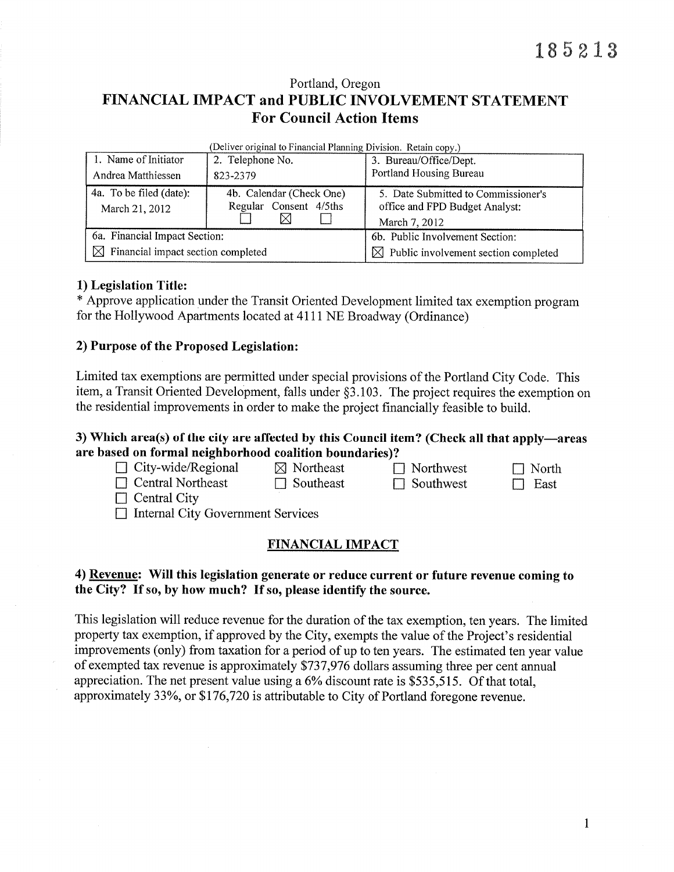# Portland, Oregon FINANCIAL IMPACT and PUBLIC INVOLVEMENT STATEMENT **For Council Action Items**

| Denver original to Financial Frammig Division. Tectam Copy, a |                                                    |                                                                       |  |  |  |  |  |  |
|---------------------------------------------------------------|----------------------------------------------------|-----------------------------------------------------------------------|--|--|--|--|--|--|
| 1. Name of Initiator                                          | 2. Telephone No.                                   | 3. Bureau/Office/Dept.                                                |  |  |  |  |  |  |
| Andrea Matthiessen                                            | 823-2379                                           | Portland Housing Bureau                                               |  |  |  |  |  |  |
| 4a. To be filed (date):<br>March 21, 2012                     | 4b. Calendar (Check One)<br>Regular Consent 4/5ths | 5. Date Submitted to Commissioner's<br>office and FPD Budget Analyst: |  |  |  |  |  |  |
|                                                               |                                                    | March 7, 2012                                                         |  |  |  |  |  |  |
| 6a. Financial Impact Section:                                 |                                                    | 6b. Public Involvement Section:                                       |  |  |  |  |  |  |
| $\boxtimes$ Financial impact section completed                |                                                    | $\boxtimes$ Public involvement section completed                      |  |  |  |  |  |  |

(Deliver original to Financial Planning Division Petain conv.)

#### 1) Legislation Title:

\* Approve application under the Transit Oriented Development limited tax exemption program for the Hollywood Apartments located at 4111 NE Broadway (Ordinance)

#### 2) Purpose of the Proposed Legislation:

Limited tax exemptions are permitted under special provisions of the Portland City Code. This item, a Transit Oriented Development, falls under §3.103. The project requires the exemption on the residential improvements in order to make the project financially feasible to build.

# 3) Which area(s) of the city are affected by this Council item? (Check all that apply—areas are based on formal neighborhood coalition boundaries)?

| $\Box$ City-wide/Regional | $\boxtimes$ Northeast | $\Box$ Northwest | $\Box$ North |
|---------------------------|-----------------------|------------------|--------------|
| $\Box$ Central Northeast  | $\Box$ Southeast      | $\Box$ Southwest | $\Box$ East  |
| $\Box$ Central City       |                       |                  |              |
|                           |                       |                  |              |

 $\Box$  Internal City Government Services

## **FINANCIAL IMPACT**

# 4) Revenue: Will this legislation generate or reduce current or future revenue coming to the City? If so, by how much? If so, please identify the source.

This legislation will reduce revenue for the duration of the tax exemption, ten years. The limited property tax exemption, if approved by the City, exempts the value of the Project's residential improvements (only) from taxation for a period of up to ten years. The estimated ten year value of exempted tax revenue is approximately \$737,976 dollars assuming three per cent annual appreciation. The net present value using a 6% discount rate is \$535,515. Of that total, approximately 33%, or \$176,720 is attributable to City of Portland foregone revenue.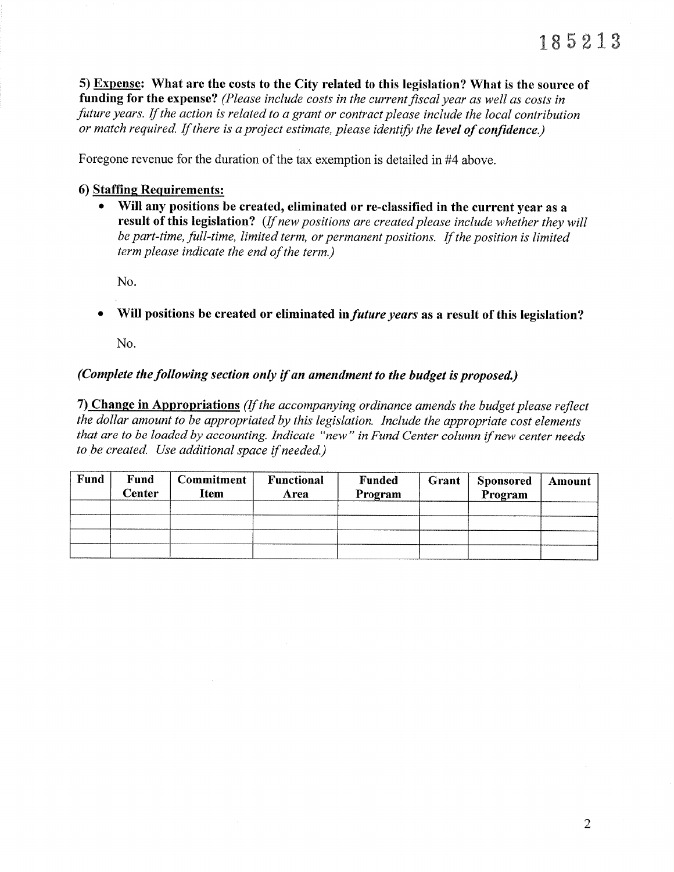5) Expense: What are the costs to the City related to this legislation? What is the source of funding for the expense? (Please include costs in the current fiscal year as well as costs in future years. If the action is related to a grant or contract please include the local contribution or match required. If there is a project estimate, please identify the level of confidence.)

Foregone revenue for the duration of the tax exemption is detailed in #4 above.

#### 6) Staffïne Requirements:

• Will any positions be created, eliminated or re-classified in the current year as a result of this legislation? (If new positions are created please include whether they will be part-time, full-time, limited term, or permanent positions. If the position is limited term please indicate the end of the term.)

No.

Will positions be created or eliminated in *future years* as a result of this legislation?

No.

# (Complete the following section only if an amendment to the budget is proposed.)

7) Change in Appropriations (If the accompanying ordinance amends the budget please reflect the dollar amount to be appropriated by this legislatíon. Include the appropriate cost elements that are to be loaded by accounting. Indicate "new" in Fund Center column if new center needs to be created. Use additional space if needed.)

| Fund | Fund<br>Center | <b>Commitment</b><br>Item | Functional<br>Area | <b>Funded</b><br>Program | Grant | Sponsored<br>Program | Amount |
|------|----------------|---------------------------|--------------------|--------------------------|-------|----------------------|--------|
|      |                |                           |                    |                          |       |                      |        |
|      |                |                           |                    |                          |       |                      |        |
|      |                |                           |                    |                          |       |                      |        |
|      |                |                           |                    |                          |       |                      |        |